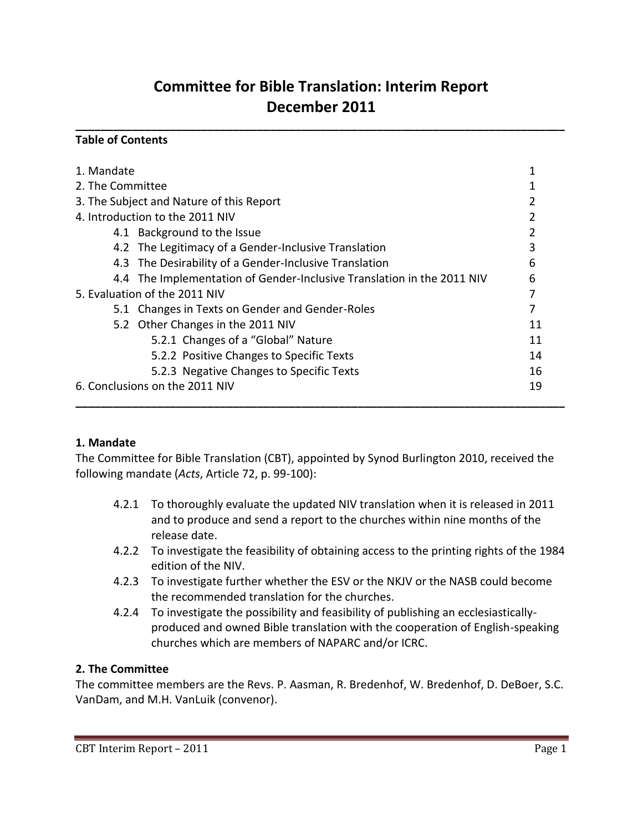# **Committee for Bible Translation: Interim Report December 2011**

**\_\_\_\_\_\_\_\_\_\_\_\_\_\_\_\_\_\_\_\_\_\_\_\_\_\_\_\_\_\_\_\_\_\_\_\_\_\_\_\_\_\_\_\_\_\_\_\_\_\_\_\_\_\_\_\_\_\_\_\_\_\_\_\_\_\_\_\_\_\_\_\_\_\_\_\_\_\_**

#### **Table of Contents**

| 1. Mandate                                                             |    |
|------------------------------------------------------------------------|----|
| 2. The Committee                                                       |    |
| 3. The Subject and Nature of this Report                               |    |
| 4. Introduction to the 2011 NIV                                        |    |
| 4.1 Background to the Issue                                            | 2  |
| 4.2 The Legitimacy of a Gender-Inclusive Translation                   | 3  |
| 4.3 The Desirability of a Gender-Inclusive Translation                 | 6  |
| 4.4 The Implementation of Gender-Inclusive Translation in the 2011 NIV | 6  |
| 5. Evaluation of the 2011 NIV                                          | 7  |
| 5.1 Changes in Texts on Gender and Gender-Roles                        | 7  |
| 5.2 Other Changes in the 2011 NIV                                      | 11 |
| 5.2.1 Changes of a "Global" Nature                                     | 11 |
| 5.2.2 Positive Changes to Specific Texts                               | 14 |
| 5.2.3 Negative Changes to Specific Texts                               | 16 |
| 6. Conclusions on the 2011 NIV                                         | 19 |
|                                                                        |    |

#### **1. Mandate**

The Committee for Bible Translation (CBT), appointed by Synod Burlington 2010, received the following mandate (*Acts*, Article 72, p. 99-100):

- 4.2.1 To thoroughly evaluate the updated NIV translation when it is released in 2011 and to produce and send a report to the churches within nine months of the release date.
- 4.2.2 To investigate the feasibility of obtaining access to the printing rights of the 1984 edition of the NIV.
- 4.2.3 To investigate further whether the ESV or the NKJV or the NASB could become the recommended translation for the churches.
- 4.2.4 To investigate the possibility and feasibility of publishing an ecclesiasticallyproduced and owned Bible translation with the cooperation of English-speaking churches which are members of NAPARC and/or ICRC.

### **2. The Committee**

The committee members are the Revs. P. Aasman, R. Bredenhof, W. Bredenhof, D. DeBoer, S.C. VanDam, and M.H. VanLuik (convenor).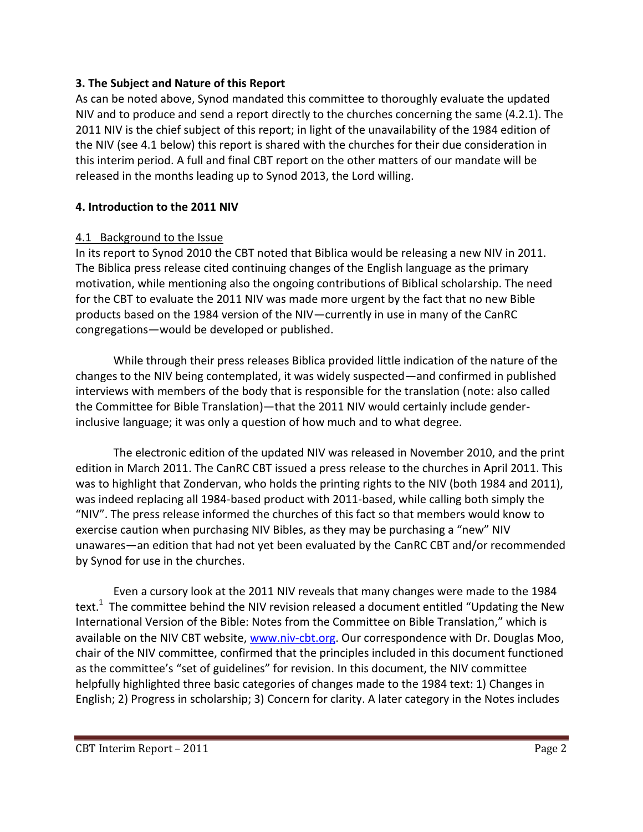#### **3. The Subject and Nature of this Report**

As can be noted above, Synod mandated this committee to thoroughly evaluate the updated NIV and to produce and send a report directly to the churches concerning the same (4.2.1). The 2011 NIV is the chief subject of this report; in light of the unavailability of the 1984 edition of the NIV (see 4.1 below) this report is shared with the churches for their due consideration in this interim period. A full and final CBT report on the other matters of our mandate will be released in the months leading up to Synod 2013, the Lord willing.

#### **4. Introduction to the 2011 NIV**

#### 4.1 Background to the Issue

In its report to Synod 2010 the CBT noted that Biblica would be releasing a new NIV in 2011. The Biblica press release cited continuing changes of the English language as the primary motivation, while mentioning also the ongoing contributions of Biblical scholarship. The need for the CBT to evaluate the 2011 NIV was made more urgent by the fact that no new Bible products based on the 1984 version of the NIV—currently in use in many of the CanRC congregations—would be developed or published.

While through their press releases Biblica provided little indication of the nature of the changes to the NIV being contemplated, it was widely suspected—and confirmed in published interviews with members of the body that is responsible for the translation (note: also called the Committee for Bible Translation)—that the 2011 NIV would certainly include genderinclusive language; it was only a question of how much and to what degree.

The electronic edition of the updated NIV was released in November 2010, and the print edition in March 2011. The CanRC CBT issued a press release to the churches in April 2011. This was to highlight that Zondervan, who holds the printing rights to the NIV (both 1984 and 2011), was indeed replacing all 1984-based product with 2011-based, while calling both simply the "NIV". The press release informed the churches of this fact so that members would know to exercise caution when purchasing NIV Bibles, as they may be purchasing a "new" NIV unawares—an edition that had not yet been evaluated by the CanRC CBT and/or recommended by Synod for use in the churches.

Even a cursory look at the 2011 NIV reveals that many changes were made to the 1984 text.<sup>1</sup> The committee behind the NIV revision released a document entitled "Updating the New International Version of the Bible: Notes from the Committee on Bible Translation," which is available on the NIV CBT website, [www.niv-cbt.org.](http://www.niv-cbt.org/) Our correspondence with Dr. Douglas Moo, chair of the NIV committee, confirmed that the principles included in this document functioned as the committee's "set of guidelines" for revision. In this document, the NIV committee helpfully highlighted three basic categories of changes made to the 1984 text: 1) Changes in English; 2) Progress in scholarship; 3) Concern for clarity. A later category in the Notes includes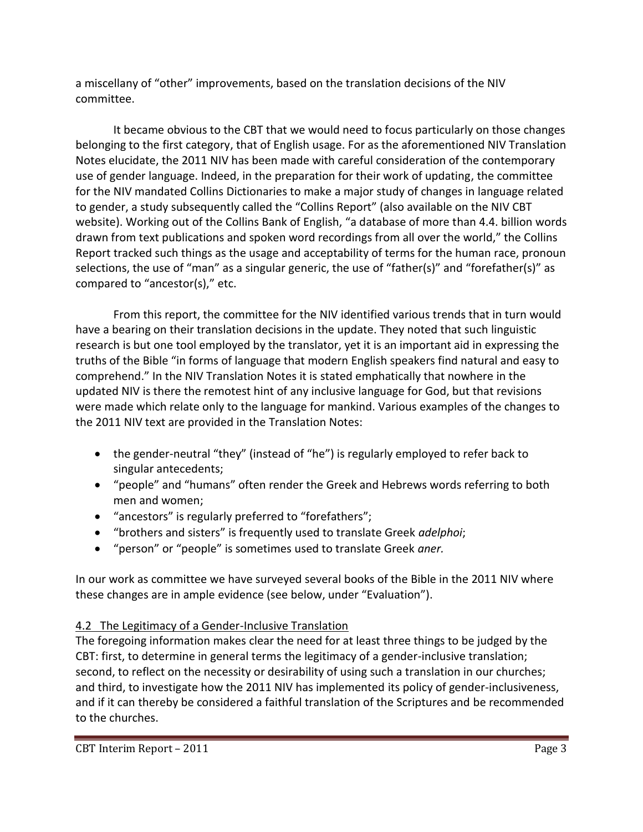a miscellany of "other" improvements, based on the translation decisions of the NIV committee.

It became obvious to the CBT that we would need to focus particularly on those changes belonging to the first category, that of English usage. For as the aforementioned NIV Translation Notes elucidate, the 2011 NIV has been made with careful consideration of the contemporary use of gender language. Indeed, in the preparation for their work of updating, the committee for the NIV mandated Collins Dictionaries to make a major study of changes in language related to gender, a study subsequently called the "Collins Report" (also available on the NIV CBT website). Working out of the Collins Bank of English, "a database of more than 4.4. billion words drawn from text publications and spoken word recordings from all over the world," the Collins Report tracked such things as the usage and acceptability of terms for the human race, pronoun selections, the use of "man" as a singular generic, the use of "father(s)" and "forefather(s)" as compared to "ancestor(s)," etc.

From this report, the committee for the NIV identified various trends that in turn would have a bearing on their translation decisions in the update. They noted that such linguistic research is but one tool employed by the translator, yet it is an important aid in expressing the truths of the Bible "in forms of language that modern English speakers find natural and easy to comprehend." In the NIV Translation Notes it is stated emphatically that nowhere in the updated NIV is there the remotest hint of any inclusive language for God, but that revisions were made which relate only to the language for mankind. Various examples of the changes to the 2011 NIV text are provided in the Translation Notes:

- the gender-neutral "they" (instead of "he") is regularly employed to refer back to singular antecedents;
- "people" and "humans" often render the Greek and Hebrews words referring to both men and women;
- "ancestors" is regularly preferred to "forefathers";
- "brothers and sisters" is frequently used to translate Greek *adelphoi*;
- "person" or "people" is sometimes used to translate Greek *aner.*

In our work as committee we have surveyed several books of the Bible in the 2011 NIV where these changes are in ample evidence (see below, under "Evaluation").

## 4.2 The Legitimacy of a Gender-Inclusive Translation

The foregoing information makes clear the need for at least three things to be judged by the CBT: first, to determine in general terms the legitimacy of a gender-inclusive translation; second, to reflect on the necessity or desirability of using such a translation in our churches; and third, to investigate how the 2011 NIV has implemented its policy of gender-inclusiveness, and if it can thereby be considered a faithful translation of the Scriptures and be recommended to the churches.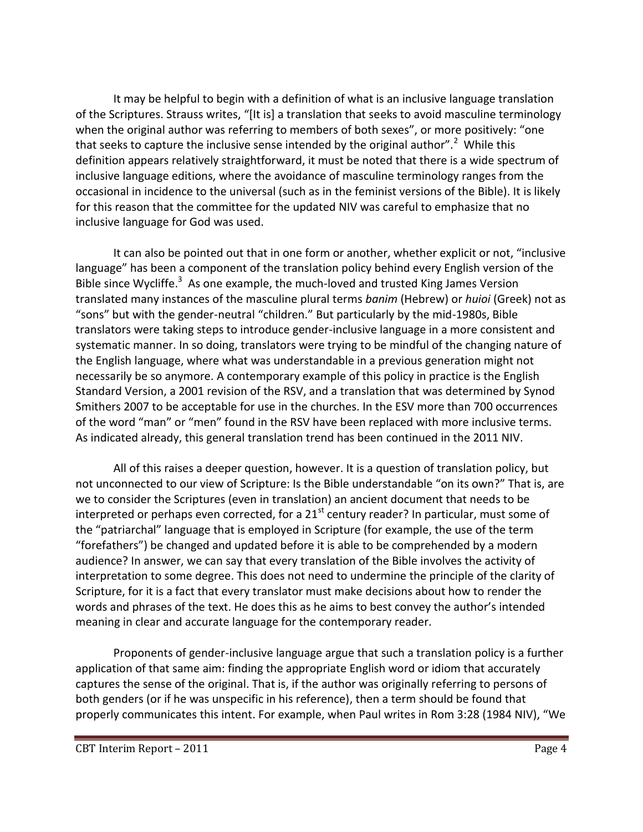It may be helpful to begin with a definition of what is an inclusive language translation of the Scriptures. Strauss writes, "[It is] a translation that seeks to avoid masculine terminology when the original author was referring to members of both sexes", or more positively: "one that seeks to capture the inclusive sense intended by the original author".<sup>2</sup> While this definition appears relatively straightforward, it must be noted that there is a wide spectrum of inclusive language editions, where the avoidance of masculine terminology ranges from the occasional in incidence to the universal (such as in the feminist versions of the Bible). It is likely for this reason that the committee for the updated NIV was careful to emphasize that no inclusive language for God was used.

It can also be pointed out that in one form or another, whether explicit or not, "inclusive language" has been a component of the translation policy behind every English version of the Bible since Wycliffe.<sup>3</sup> As one example, the much-loved and trusted King James Version translated many instances of the masculine plural terms *banim* (Hebrew) or *huioi* (Greek) not as "sons" but with the gender-neutral "children." But particularly by the mid-1980s, Bible translators were taking steps to introduce gender-inclusive language in a more consistent and systematic manner. In so doing, translators were trying to be mindful of the changing nature of the English language, where what was understandable in a previous generation might not necessarily be so anymore. A contemporary example of this policy in practice is the English Standard Version, a 2001 revision of the RSV, and a translation that was determined by Synod Smithers 2007 to be acceptable for use in the churches. In the ESV more than 700 occurrences of the word "man" or "men" found in the RSV have been replaced with more inclusive terms. As indicated already, this general translation trend has been continued in the 2011 NIV.

All of this raises a deeper question, however. It is a question of translation policy, but not unconnected to our view of Scripture: Is the Bible understandable "on its own?" That is, are we to consider the Scriptures (even in translation) an ancient document that needs to be interpreted or perhaps even corrected, for a  $21<sup>st</sup>$  century reader? In particular, must some of the "patriarchal" language that is employed in Scripture (for example, the use of the term "forefathers") be changed and updated before it is able to be comprehended by a modern audience? In answer, we can say that every translation of the Bible involves the activity of interpretation to some degree. This does not need to undermine the principle of the clarity of Scripture, for it is a fact that every translator must make decisions about how to render the words and phrases of the text. He does this as he aims to best convey the author's intended meaning in clear and accurate language for the contemporary reader.

Proponents of gender-inclusive language argue that such a translation policy is a further application of that same aim: finding the appropriate English word or idiom that accurately captures the sense of the original. That is, if the author was originally referring to persons of both genders (or if he was unspecific in his reference), then a term should be found that properly communicates this intent. For example, when Paul writes in Rom 3:28 (1984 NIV), "We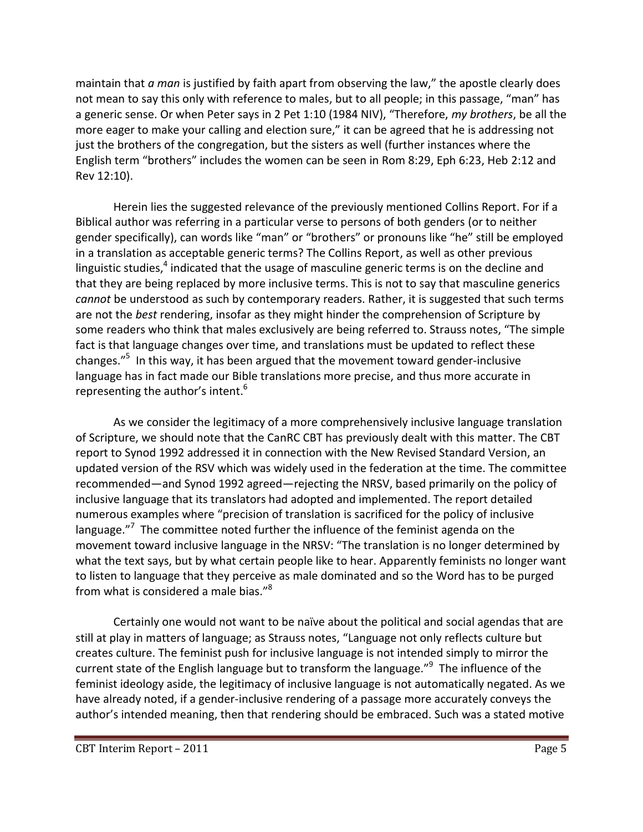maintain that *a man* is justified by faith apart from observing the law," the apostle clearly does not mean to say this only with reference to males, but to all people; in this passage, "man" has a generic sense. Or when Peter says in 2 Pet 1:10 (1984 NIV), "Therefore, *my brothers*, be all the more eager to make your calling and election sure," it can be agreed that he is addressing not just the brothers of the congregation, but the sisters as well (further instances where the English term "brothers" includes the women can be seen in Rom 8:29, Eph 6:23, Heb 2:12 and Rev 12:10).

Herein lies the suggested relevance of the previously mentioned Collins Report. For if a Biblical author was referring in a particular verse to persons of both genders (or to neither gender specifically), can words like "man" or "brothers" or pronouns like "he" still be employed in a translation as acceptable generic terms? The Collins Report, as well as other previous linguistic studies,<sup>4</sup> indicated that the usage of masculine generic terms is on the decline and that they are being replaced by more inclusive terms. This is not to say that masculine generics *cannot* be understood as such by contemporary readers. Rather, it is suggested that such terms are not the *best* rendering, insofar as they might hinder the comprehension of Scripture by some readers who think that males exclusively are being referred to. Strauss notes, "The simple fact is that language changes over time, and translations must be updated to reflect these changes."<sup>5</sup> In this way, it has been argued that the movement toward gender-inclusive language has in fact made our Bible translations more precise, and thus more accurate in representing the author's intent.<sup>6</sup>

As we consider the legitimacy of a more comprehensively inclusive language translation of Scripture, we should note that the CanRC CBT has previously dealt with this matter. The CBT report to Synod 1992 addressed it in connection with the New Revised Standard Version, an updated version of the RSV which was widely used in the federation at the time. The committee recommended—and Synod 1992 agreed—rejecting the NRSV, based primarily on the policy of inclusive language that its translators had adopted and implemented. The report detailed numerous examples where "precision of translation is sacrificed for the policy of inclusive language."<sup>7</sup> The committee noted further the influence of the feminist agenda on the movement toward inclusive language in the NRSV: "The translation is no longer determined by what the text says, but by what certain people like to hear. Apparently feminists no longer want to listen to language that they perceive as male dominated and so the Word has to be purged from what is considered a male bias."<sup>8</sup>

Certainly one would not want to be naïve about the political and social agendas that are still at play in matters of language; as Strauss notes, "Language not only reflects culture but creates culture. The feminist push for inclusive language is not intended simply to mirror the current state of the English language but to transform the language."<sup>9</sup> The influence of the feminist ideology aside, the legitimacy of inclusive language is not automatically negated. As we have already noted, if a gender-inclusive rendering of a passage more accurately conveys the author's intended meaning, then that rendering should be embraced. Such was a stated motive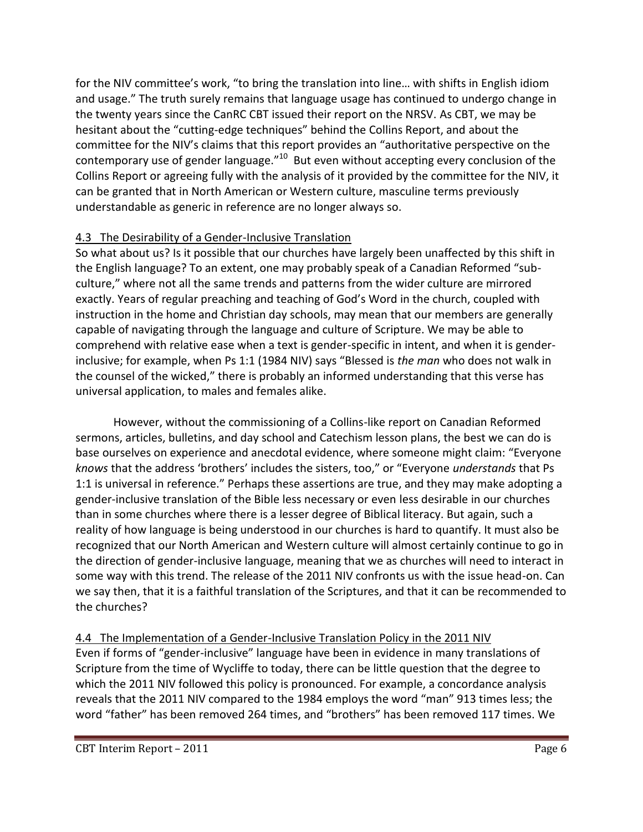for the NIV committee's work, "to bring the translation into line… with shifts in English idiom and usage." The truth surely remains that language usage has continued to undergo change in the twenty years since the CanRC CBT issued their report on the NRSV. As CBT, we may be hesitant about the "cutting-edge techniques" behind the Collins Report, and about the committee for the NIV's claims that this report provides an "authoritative perspective on the contemporary use of gender language."<sup>10</sup> But even without accepting every conclusion of the Collins Report or agreeing fully with the analysis of it provided by the committee for the NIV, it can be granted that in North American or Western culture, masculine terms previously understandable as generic in reference are no longer always so.

## 4.3 The Desirability of a Gender-Inclusive Translation

So what about us? Is it possible that our churches have largely been unaffected by this shift in the English language? To an extent, one may probably speak of a Canadian Reformed "subculture," where not all the same trends and patterns from the wider culture are mirrored exactly. Years of regular preaching and teaching of God's Word in the church, coupled with instruction in the home and Christian day schools, may mean that our members are generally capable of navigating through the language and culture of Scripture. We may be able to comprehend with relative ease when a text is gender-specific in intent, and when it is genderinclusive; for example, when Ps 1:1 (1984 NIV) says "Blessed is *the man* who does not walk in the counsel of the wicked," there is probably an informed understanding that this verse has universal application, to males and females alike.

However, without the commissioning of a Collins-like report on Canadian Reformed sermons, articles, bulletins, and day school and Catechism lesson plans, the best we can do is base ourselves on experience and anecdotal evidence, where someone might claim: "Everyone *knows* that the address 'brothers' includes the sisters, too," or "Everyone *understands* that Ps 1:1 is universal in reference." Perhaps these assertions are true, and they may make adopting a gender-inclusive translation of the Bible less necessary or even less desirable in our churches than in some churches where there is a lesser degree of Biblical literacy. But again, such a reality of how language is being understood in our churches is hard to quantify. It must also be recognized that our North American and Western culture will almost certainly continue to go in the direction of gender-inclusive language, meaning that we as churches will need to interact in some way with this trend. The release of the 2011 NIV confronts us with the issue head-on. Can we say then, that it is a faithful translation of the Scriptures, and that it can be recommended to the churches?

## 4.4 The Implementation of a Gender-Inclusive Translation Policy in the 2011 NIV

Even if forms of "gender-inclusive" language have been in evidence in many translations of Scripture from the time of Wycliffe to today, there can be little question that the degree to which the 2011 NIV followed this policy is pronounced. For example, a concordance analysis reveals that the 2011 NIV compared to the 1984 employs the word "man" 913 times less; the word "father" has been removed 264 times, and "brothers" has been removed 117 times. We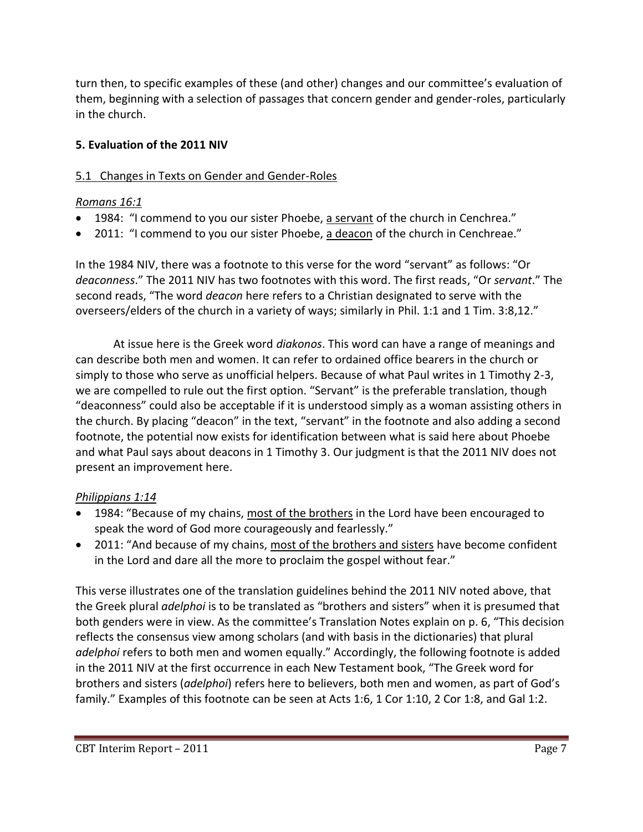turn then, to specific examples of these (and other) changes and our committee's evaluation of them, beginning with a selection of passages that concern gender and gender-roles, particularly in the church.

### **5. Evaluation of the 2011 NIV**

## 5.1 Changes in Texts on Gender and Gender-Roles

### *Romans 16:1*

- 1984: "I commend to you our sister Phoebe, a servant of the church in Cenchrea."
- 2011: "I commend to you our sister Phoebe, a deacon of the church in Cenchreae."

In the 1984 NIV, there was a footnote to this verse for the word "servant" as follows: "Or *deaconness*." The 2011 NIV has two footnotes with this word. The first reads, "Or *servant*." The second reads, "The word *deacon* here refers to a Christian designated to serve with the overseers/elders of the church in a variety of ways; similarly in Phil. 1:1 and 1 Tim. 3:8,12."

At issue here is the Greek word *diakonos*. This word can have a range of meanings and can describe both men and women. It can refer to ordained office bearers in the church or simply to those who serve as unofficial helpers. Because of what Paul writes in 1 Timothy 2-3, we are compelled to rule out the first option. "Servant" is the preferable translation, though "deaconness" could also be acceptable if it is understood simply as a woman assisting others in the church. By placing "deacon" in the text, "servant" in the footnote and also adding a second footnote, the potential now exists for identification between what is said here about Phoebe and what Paul says about deacons in 1 Timothy 3. Our judgment is that the 2011 NIV does not present an improvement here.

### *Philippians 1:14*

- 1984: "Because of my chains, most of the brothers in the Lord have been encouraged to speak the word of God more courageously and fearlessly."
- 2011: "And because of my chains, most of the brothers and sisters have become confident in the Lord and dare all the more to proclaim the gospel without fear."

This verse illustrates one of the translation guidelines behind the 2011 NIV noted above, that the Greek plural *adelphoi* is to be translated as "brothers and sisters" when it is presumed that both genders were in view. As the committee's Translation Notes explain on p. 6, "This decision reflects the consensus view among scholars (and with basis in the dictionaries) that plural *adelphoi* refers to both men and women equally." Accordingly, the following footnote is added in the 2011 NIV at the first occurrence in each New Testament book, "The Greek word for brothers and sisters (*adelphoi*) refers here to believers, both men and women, as part of God's family." Examples of this footnote can be seen at Acts 1:6, 1 Cor 1:10, 2 Cor 1:8, and Gal 1:2.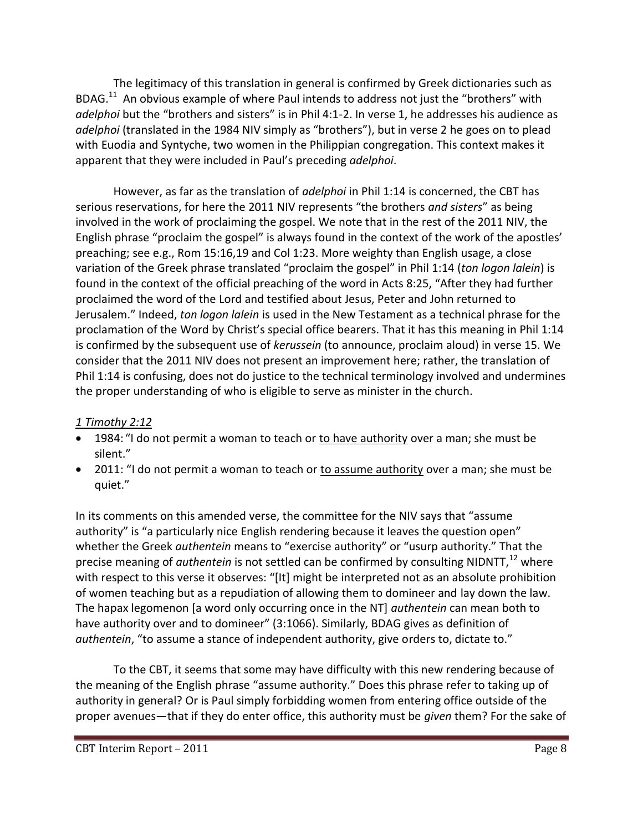The legitimacy of this translation in general is confirmed by Greek dictionaries such as BDAG.<sup>11</sup> An obvious example of where Paul intends to address not just the "brothers" with *adelphoi* but the "brothers and sisters" is in Phil 4:1-2. In verse 1, he addresses his audience as *adelphoi* (translated in the 1984 NIV simply as "brothers"), but in verse 2 he goes on to plead with Euodia and Syntyche, two women in the Philippian congregation. This context makes it apparent that they were included in Paul's preceding *adelphoi*.

However, as far as the translation of *adelphoi* in Phil 1:14 is concerned, the CBT has serious reservations, for here the 2011 NIV represents "the brothers *and sisters*" as being involved in the work of proclaiming the gospel. We note that in the rest of the 2011 NIV, the English phrase "proclaim the gospel" is always found in the context of the work of the apostles' preaching; see e.g., Rom 15:16,19 and Col 1:23. More weighty than English usage, a close variation of the Greek phrase translated "proclaim the gospel" in Phil 1:14 (*ton logon lalein*) is found in the context of the official preaching of the word in Acts 8:25, "After they had further proclaimed the word of the Lord and testified about Jesus, Peter and John returned to Jerusalem." Indeed, *ton logon lalein* is used in the New Testament as a technical phrase for the proclamation of the Word by Christ's special office bearers. That it has this meaning in Phil 1:14 is confirmed by the subsequent use of *kerussein* (to announce, proclaim aloud) in verse 15. We consider that the 2011 NIV does not present an improvement here; rather, the translation of Phil 1:14 is confusing, does not do justice to the technical terminology involved and undermines the proper understanding of who is eligible to serve as minister in the church.

#### *1 Timothy 2:12*

- 1984: "I do not permit a woman to teach or to have authority over a man; she must be silent."
- 2011: "I do not permit a woman to teach or to assume authority over a man; she must be quiet."

In its comments on this amended verse, the committee for the NIV says that "assume authority" is "a particularly nice English rendering because it leaves the question open" whether the Greek *authentein* means to "exercise authority" or "usurp authority." That the precise meaning of *authentein* is not settled can be confirmed by consulting NIDNTT.<sup>12</sup> where with respect to this verse it observes: "[It] might be interpreted not as an absolute prohibition of women teaching but as a repudiation of allowing them to domineer and lay down the law. The hapax legomenon [a word only occurring once in the NT] *authentein* can mean both to have authority over and to domineer" (3:1066). Similarly, BDAG gives as definition of *authentein*, "to assume a stance of independent authority, give orders to, dictate to."

To the CBT, it seems that some may have difficulty with this new rendering because of the meaning of the English phrase "assume authority." Does this phrase refer to taking up of authority in general? Or is Paul simply forbidding women from entering office outside of the proper avenues—that if they do enter office, this authority must be *given* them? For the sake of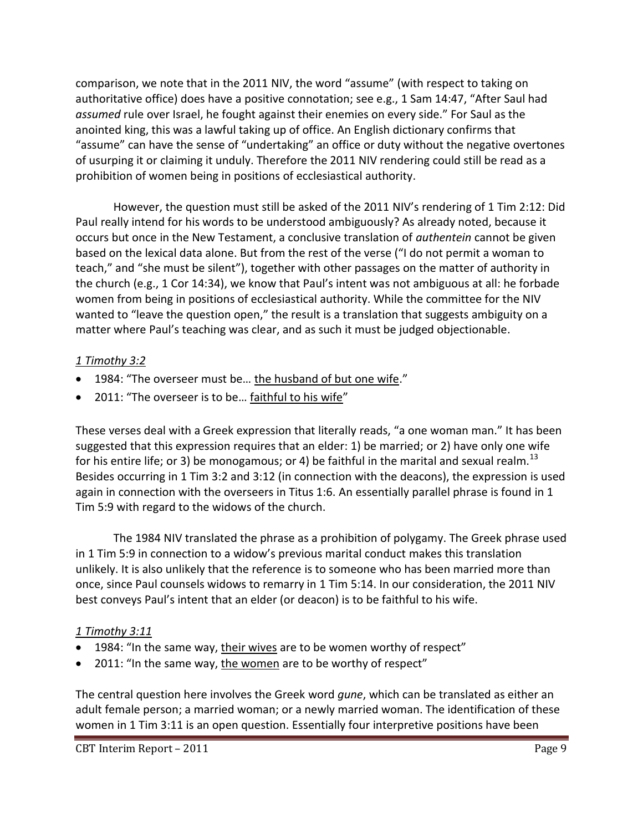comparison, we note that in the 2011 NIV, the word "assume" (with respect to taking on authoritative office) does have a positive connotation; see e.g., 1 Sam 14:47, "After Saul had *assumed* rule over Israel, he fought against their enemies on every side." For Saul as the anointed king, this was a lawful taking up of office. An English dictionary confirms that "assume" can have the sense of "undertaking" an office or duty without the negative overtones of usurping it or claiming it unduly. Therefore the 2011 NIV rendering could still be read as a prohibition of women being in positions of ecclesiastical authority.

However, the question must still be asked of the 2011 NIV's rendering of 1 Tim 2:12: Did Paul really intend for his words to be understood ambiguously? As already noted, because it occurs but once in the New Testament, a conclusive translation of *authentein* cannot be given based on the lexical data alone. But from the rest of the verse ("I do not permit a woman to teach," and "she must be silent"), together with other passages on the matter of authority in the church (e.g., 1 Cor 14:34), we know that Paul's intent was not ambiguous at all: he forbade women from being in positions of ecclesiastical authority. While the committee for the NIV wanted to "leave the question open," the result is a translation that suggests ambiguity on a matter where Paul's teaching was clear, and as such it must be judged objectionable.

#### *1 Timothy 3:2*

- 1984: "The overseer must be… the husband of but one wife."
- 2011: "The overseer is to be… faithful to his wife"

These verses deal with a Greek expression that literally reads, "a one woman man." It has been suggested that this expression requires that an elder: 1) be married; or 2) have only one wife for his entire life; or 3) be monogamous; or 4) be faithful in the marital and sexual realm.<sup>13</sup> Besides occurring in 1 Tim 3:2 and 3:12 (in connection with the deacons), the expression is used again in connection with the overseers in Titus 1:6. An essentially parallel phrase is found in 1 Tim 5:9 with regard to the widows of the church.

The 1984 NIV translated the phrase as a prohibition of polygamy. The Greek phrase used in 1 Tim 5:9 in connection to a widow's previous marital conduct makes this translation unlikely. It is also unlikely that the reference is to someone who has been married more than once, since Paul counsels widows to remarry in 1 Tim 5:14. In our consideration, the 2011 NIV best conveys Paul's intent that an elder (or deacon) is to be faithful to his wife.

#### *1 Timothy 3:11*

- 1984: "In the same way, their wives are to be women worthy of respect"
- 2011: "In the same way, the women are to be worthy of respect"

The central question here involves the Greek word *gune*, which can be translated as either an adult female person; a married woman; or a newly married woman. The identification of these women in 1 Tim 3:11 is an open question. Essentially four interpretive positions have been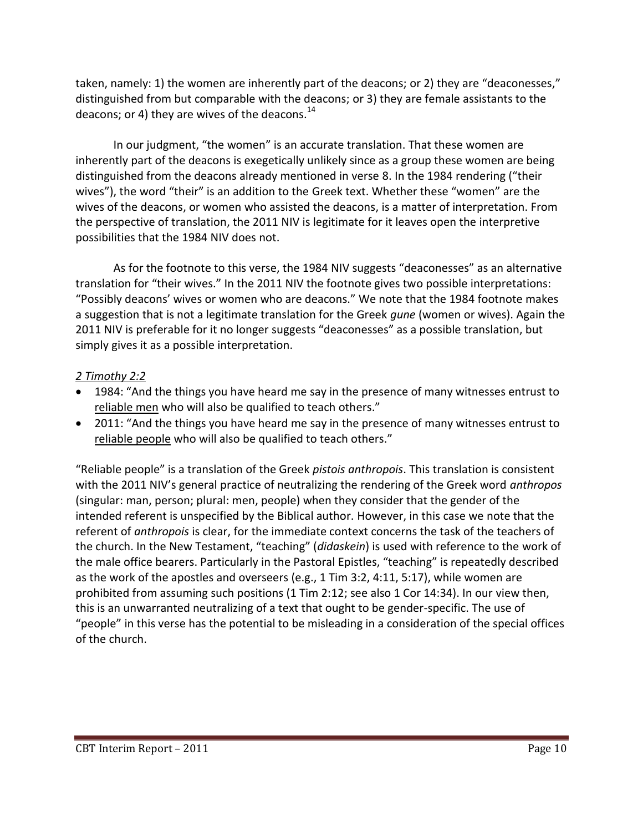taken, namely: 1) the women are inherently part of the deacons; or 2) they are "deaconesses," distinguished from but comparable with the deacons; or 3) they are female assistants to the deacons; or 4) they are wives of the deacons. $^{14}$ 

In our judgment, "the women" is an accurate translation. That these women are inherently part of the deacons is exegetically unlikely since as a group these women are being distinguished from the deacons already mentioned in verse 8. In the 1984 rendering ("their wives"), the word "their" is an addition to the Greek text. Whether these "women" are the wives of the deacons, or women who assisted the deacons, is a matter of interpretation. From the perspective of translation, the 2011 NIV is legitimate for it leaves open the interpretive possibilities that the 1984 NIV does not.

As for the footnote to this verse, the 1984 NIV suggests "deaconesses" as an alternative translation for "their wives." In the 2011 NIV the footnote gives two possible interpretations: "Possibly deacons' wives or women who are deacons." We note that the 1984 footnote makes a suggestion that is not a legitimate translation for the Greek *gune* (women or wives). Again the 2011 NIV is preferable for it no longer suggests "deaconesses" as a possible translation, but simply gives it as a possible interpretation.

## *2 Timothy 2:2*

- 1984: "And the things you have heard me say in the presence of many witnesses entrust to reliable men who will also be qualified to teach others."
- 2011: "And the things you have heard me say in the presence of many witnesses entrust to reliable people who will also be qualified to teach others."

"Reliable people" is a translation of the Greek *pistois anthropois*. This translation is consistent with the 2011 NIV's general practice of neutralizing the rendering of the Greek word *anthropos* (singular: man, person; plural: men, people) when they consider that the gender of the intended referent is unspecified by the Biblical author. However, in this case we note that the referent of *anthropois* is clear, for the immediate context concerns the task of the teachers of the church. In the New Testament, "teaching" (*didaskein*) is used with reference to the work of the male office bearers. Particularly in the Pastoral Epistles, "teaching" is repeatedly described as the work of the apostles and overseers (e.g., 1 Tim 3:2, 4:11, 5:17), while women are prohibited from assuming such positions (1 Tim 2:12; see also 1 Cor 14:34). In our view then, this is an unwarranted neutralizing of a text that ought to be gender-specific. The use of "people" in this verse has the potential to be misleading in a consideration of the special offices of the church.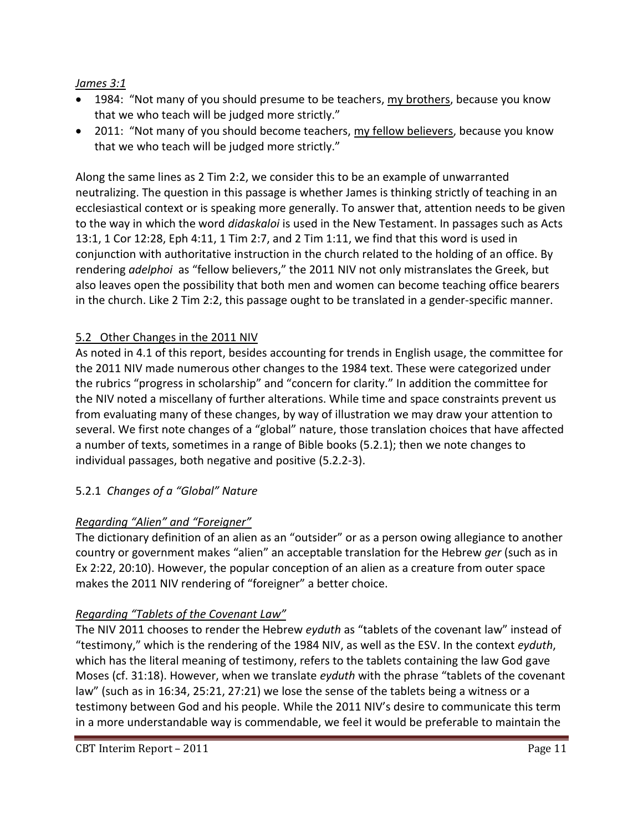### *James 3:1*

- 1984: "Not many of you should presume to be teachers, my brothers, because you know that we who teach will be judged more strictly."
- 2011: "Not many of you should become teachers, my fellow believers, because you know that we who teach will be judged more strictly."

Along the same lines as 2 Tim 2:2, we consider this to be an example of unwarranted neutralizing. The question in this passage is whether James is thinking strictly of teaching in an ecclesiastical context or is speaking more generally. To answer that, attention needs to be given to the way in which the word *didaskaloi* is used in the New Testament. In passages such as Acts 13:1, 1 Cor 12:28, Eph 4:11, 1 Tim 2:7, and 2 Tim 1:11, we find that this word is used in conjunction with authoritative instruction in the church related to the holding of an office. By rendering *adelphoi* as "fellow believers," the 2011 NIV not only mistranslates the Greek, but also leaves open the possibility that both men and women can become teaching office bearers in the church. Like 2 Tim 2:2, this passage ought to be translated in a gender-specific manner.

### 5.2 Other Changes in the 2011 NIV

As noted in 4.1 of this report, besides accounting for trends in English usage, the committee for the 2011 NIV made numerous other changes to the 1984 text. These were categorized under the rubrics "progress in scholarship" and "concern for clarity." In addition the committee for the NIV noted a miscellany of further alterations. While time and space constraints prevent us from evaluating many of these changes, by way of illustration we may draw your attention to several. We first note changes of a "global" nature, those translation choices that have affected a number of texts, sometimes in a range of Bible books (5.2.1); then we note changes to individual passages, both negative and positive (5.2.2-3).

### 5.2.1 *Changes of a "Global" Nature*

### *Regarding "Alien" and "Foreigner"*

The dictionary definition of an alien as an "outsider" or as a person owing allegiance to another country or government makes "alien" an acceptable translation for the Hebrew *ger* (such as in Ex 2:22, 20:10). However, the popular conception of an alien as a creature from outer space makes the 2011 NIV rendering of "foreigner" a better choice.

### *Regarding "Tablets of the Covenant Law"*

The NIV 2011 chooses to render the Hebrew *eyduth* as "tablets of the covenant law" instead of "testimony," which is the rendering of the 1984 NIV, as well as the ESV. In the context *eyduth*, which has the literal meaning of testimony, refers to the tablets containing the law God gave Moses (cf. 31:18). However, when we translate *eyduth* with the phrase "tablets of the covenant law" (such as in 16:34, 25:21, 27:21) we lose the sense of the tablets being a witness or a testimony between God and his people. While the 2011 NIV's desire to communicate this term in a more understandable way is commendable, we feel it would be preferable to maintain the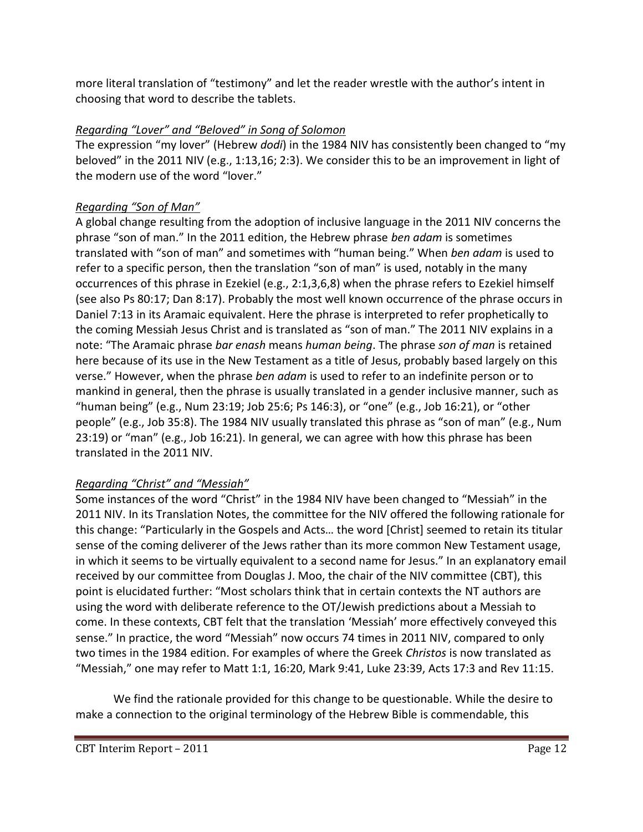more literal translation of "testimony" and let the reader wrestle with the author's intent in choosing that word to describe the tablets.

## *Regarding "Lover" and "Beloved" in Song of Solomon*

The expression "my lover" (Hebrew *dodi*) in the 1984 NIV has consistently been changed to "my beloved" in the 2011 NIV (e.g., 1:13,16; 2:3). We consider this to be an improvement in light of the modern use of the word "lover."

## *Regarding "Son of Man"*

A global change resulting from the adoption of inclusive language in the 2011 NIV concerns the phrase "son of man." In the 2011 edition, the Hebrew phrase *ben adam* is sometimes translated with "son of man" and sometimes with "human being." When *ben adam* is used to refer to a specific person, then the translation "son of man" is used, notably in the many occurrences of this phrase in Ezekiel (e.g., 2:1,3,6,8) when the phrase refers to Ezekiel himself (see also Ps 80:17; Dan 8:17). Probably the most well known occurrence of the phrase occurs in Daniel 7:13 in its Aramaic equivalent. Here the phrase is interpreted to refer prophetically to the coming Messiah Jesus Christ and is translated as "son of man." The 2011 NIV explains in a note: "The Aramaic phrase *bar enash* means *human being*. The phrase *son of man* is retained here because of its use in the New Testament as a title of Jesus, probably based largely on this verse." However, when the phrase *ben adam* is used to refer to an indefinite person or to mankind in general, then the phrase is usually translated in a gender inclusive manner, such as "human being" (e.g., Num 23:19; Job 25:6; Ps 146:3), or "one" (e.g., Job 16:21), or "other people" (e.g., Job 35:8). The 1984 NIV usually translated this phrase as "son of man" (e.g., Num 23:19) or "man" (e.g., Job 16:21). In general, we can agree with how this phrase has been translated in the 2011 NIV.

## *Regarding "Christ" and "Messiah"*

Some instances of the word "Christ" in the 1984 NIV have been changed to "Messiah" in the 2011 NIV. In its Translation Notes, the committee for the NIV offered the following rationale for this change: "Particularly in the Gospels and Acts… the word [Christ] seemed to retain its titular sense of the coming deliverer of the Jews rather than its more common New Testament usage, in which it seems to be virtually equivalent to a second name for Jesus." In an explanatory email received by our committee from Douglas J. Moo, the chair of the NIV committee (CBT), this point is elucidated further: "Most scholars think that in certain contexts the NT authors are using the word with deliberate reference to the OT/Jewish predictions about a Messiah to come. In these contexts, CBT felt that the translation 'Messiah' more effectively conveyed this sense." In practice, the word "Messiah" now occurs 74 times in 2011 NIV, compared to only two times in the 1984 edition. For examples of where the Greek *Christos* is now translated as "Messiah," one may refer to Matt 1:1, 16:20, Mark 9:41, Luke 23:39, Acts 17:3 and Rev 11:15.

We find the rationale provided for this change to be questionable. While the desire to make a connection to the original terminology of the Hebrew Bible is commendable, this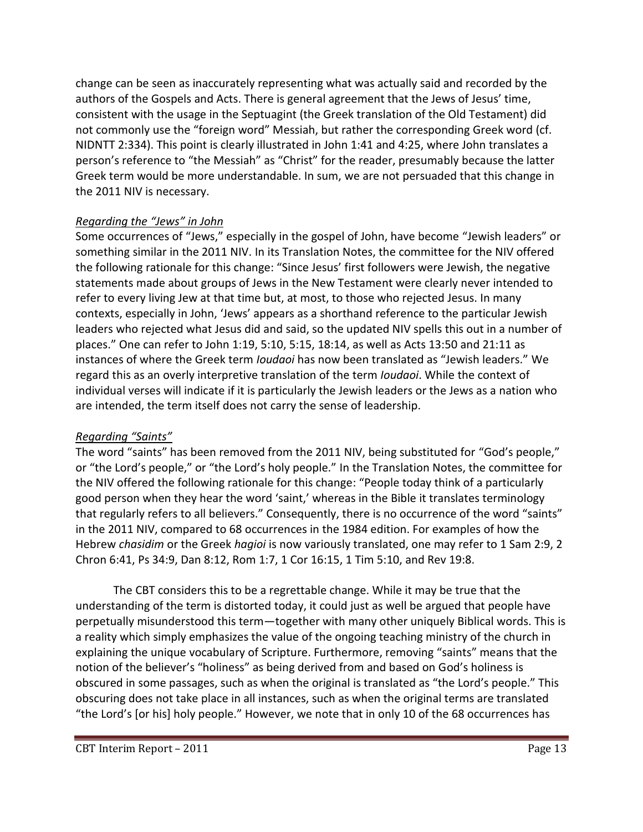change can be seen as inaccurately representing what was actually said and recorded by the authors of the Gospels and Acts. There is general agreement that the Jews of Jesus' time, consistent with the usage in the Septuagint (the Greek translation of the Old Testament) did not commonly use the "foreign word" Messiah, but rather the corresponding Greek word (cf. NIDNTT 2:334). This point is clearly illustrated in John 1:41 and 4:25, where John translates a person's reference to "the Messiah" as "Christ" for the reader, presumably because the latter Greek term would be more understandable. In sum, we are not persuaded that this change in the 2011 NIV is necessary.

### *Regarding the "Jews" in John*

Some occurrences of "Jews," especially in the gospel of John, have become "Jewish leaders" or something similar in the 2011 NIV. In its Translation Notes, the committee for the NIV offered the following rationale for this change: "Since Jesus' first followers were Jewish, the negative statements made about groups of Jews in the New Testament were clearly never intended to refer to every living Jew at that time but, at most, to those who rejected Jesus. In many contexts, especially in John, 'Jews' appears as a shorthand reference to the particular Jewish leaders who rejected what Jesus did and said, so the updated NIV spells this out in a number of places." One can refer to John 1:19, 5:10, 5:15, 18:14, as well as Acts 13:50 and 21:11 as instances of where the Greek term *Ioudaoi* has now been translated as "Jewish leaders." We regard this as an overly interpretive translation of the term *Ioudaoi*. While the context of individual verses will indicate if it is particularly the Jewish leaders or the Jews as a nation who are intended, the term itself does not carry the sense of leadership.

### *Regarding "Saints"*

The word "saints" has been removed from the 2011 NIV, being substituted for "God's people," or "the Lord's people," or "the Lord's holy people." In the Translation Notes, the committee for the NIV offered the following rationale for this change: "People today think of a particularly good person when they hear the word 'saint,' whereas in the Bible it translates terminology that regularly refers to all believers." Consequently, there is no occurrence of the word "saints" in the 2011 NIV, compared to 68 occurrences in the 1984 edition. For examples of how the Hebrew *chasidim* or the Greek *hagioi* is now variously translated, one may refer to 1 Sam 2:9, 2 Chron 6:41, Ps 34:9, Dan 8:12, Rom 1:7, 1 Cor 16:15, 1 Tim 5:10, and Rev 19:8.

The CBT considers this to be a regrettable change. While it may be true that the understanding of the term is distorted today, it could just as well be argued that people have perpetually misunderstood this term—together with many other uniquely Biblical words. This is a reality which simply emphasizes the value of the ongoing teaching ministry of the church in explaining the unique vocabulary of Scripture. Furthermore, removing "saints" means that the notion of the believer's "holiness" as being derived from and based on God's holiness is obscured in some passages, such as when the original is translated as "the Lord's people." This obscuring does not take place in all instances, such as when the original terms are translated "the Lord's [or his] holy people." However, we note that in only 10 of the 68 occurrences has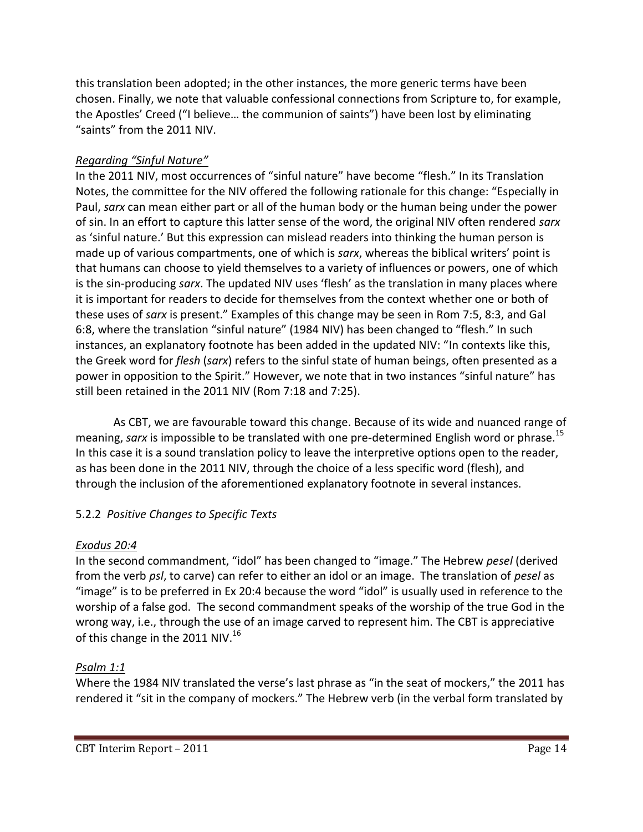this translation been adopted; in the other instances, the more generic terms have been chosen. Finally, we note that valuable confessional connections from Scripture to, for example, the Apostles' Creed ("I believe… the communion of saints") have been lost by eliminating "saints" from the 2011 NIV.

#### *Regarding "Sinful Nature"*

In the 2011 NIV, most occurrences of "sinful nature" have become "flesh." In its Translation Notes, the committee for the NIV offered the following rationale for this change: "Especially in Paul, *sarx* can mean either part or all of the human body or the human being under the power of sin. In an effort to capture this latter sense of the word, the original NIV often rendered *sarx*  as 'sinful nature.' But this expression can mislead readers into thinking the human person is made up of various compartments, one of which is *sarx*, whereas the biblical writers' point is that humans can choose to yield themselves to a variety of influences or powers, one of which is the sin-producing *sarx*. The updated NIV uses 'flesh' as the translation in many places where it is important for readers to decide for themselves from the context whether one or both of these uses of *sarx* is present." Examples of this change may be seen in Rom 7:5, 8:3, and Gal 6:8, where the translation "sinful nature" (1984 NIV) has been changed to "flesh." In such instances, an explanatory footnote has been added in the updated NIV: "In contexts like this, the Greek word for *flesh* (*sarx*) refers to the sinful state of human beings, often presented as a power in opposition to the Spirit." However, we note that in two instances "sinful nature" has still been retained in the 2011 NIV (Rom 7:18 and 7:25).

As CBT, we are favourable toward this change. Because of its wide and nuanced range of meaning, *sarx* is impossible to be translated with one pre-determined English word or phrase.<sup>15</sup> In this case it is a sound translation policy to leave the interpretive options open to the reader, as has been done in the 2011 NIV, through the choice of a less specific word (flesh), and through the inclusion of the aforementioned explanatory footnote in several instances.

### 5.2.2 *Positive Changes to Specific Texts*

### *Exodus 20:4*

In the second commandment, "idol" has been changed to "image." The Hebrew *pesel* (derived from the verb *psl*, to carve) can refer to either an idol or an image. The translation of *pesel* as "image" is to be preferred in Ex 20:4 because the word "idol" is usually used in reference to the worship of a false god. The second commandment speaks of the worship of the true God in the wrong way, i.e., through the use of an image carved to represent him. The CBT is appreciative of this change in the 2011 NIV.<sup>16</sup>

### *Psalm 1:1*

Where the 1984 NIV translated the verse's last phrase as "in the seat of mockers," the 2011 has rendered it "sit in the company of mockers." The Hebrew verb (in the verbal form translated by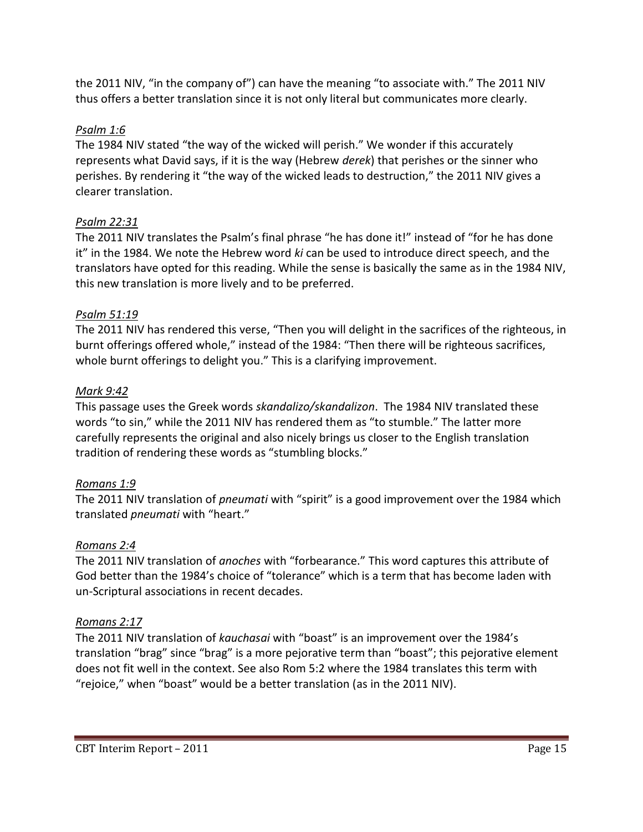the 2011 NIV, "in the company of") can have the meaning "to associate with." The 2011 NIV thus offers a better translation since it is not only literal but communicates more clearly.

### *Psalm 1:6*

The 1984 NIV stated "the way of the wicked will perish." We wonder if this accurately represents what David says, if it is the way (Hebrew *derek*) that perishes or the sinner who perishes. By rendering it "the way of the wicked leads to destruction," the 2011 NIV gives a clearer translation.

## *Psalm 22:31*

The 2011 NIV translates the Psalm's final phrase "he has done it!" instead of "for he has done it" in the 1984. We note the Hebrew word *ki* can be used to introduce direct speech, and the translators have opted for this reading. While the sense is basically the same as in the 1984 NIV, this new translation is more lively and to be preferred.

## *Psalm 51:19*

The 2011 NIV has rendered this verse, "Then you will delight in the sacrifices of the righteous, in burnt offerings offered whole," instead of the 1984: "Then there will be righteous sacrifices, whole burnt offerings to delight you." This is a clarifying improvement.

### *Mark 9:42*

This passage uses the Greek words *skandalizo/skandalizon*. The 1984 NIV translated these words "to sin," while the 2011 NIV has rendered them as "to stumble." The latter more carefully represents the original and also nicely brings us closer to the English translation tradition of rendering these words as "stumbling blocks."

## *Romans 1:9*

The 2011 NIV translation of *pneumati* with "spirit" is a good improvement over the 1984 which translated *pneumati* with "heart."

## *Romans 2:4*

The 2011 NIV translation of *anoches* with "forbearance." This word captures this attribute of God better than the 1984's choice of "tolerance" which is a term that has become laden with un-Scriptural associations in recent decades.

## *Romans 2:17*

The 2011 NIV translation of *kauchasai* with "boast" is an improvement over the 1984's translation "brag" since "brag" is a more pejorative term than "boast"; this pejorative element does not fit well in the context. See also Rom 5:2 where the 1984 translates this term with "rejoice," when "boast" would be a better translation (as in the 2011 NIV).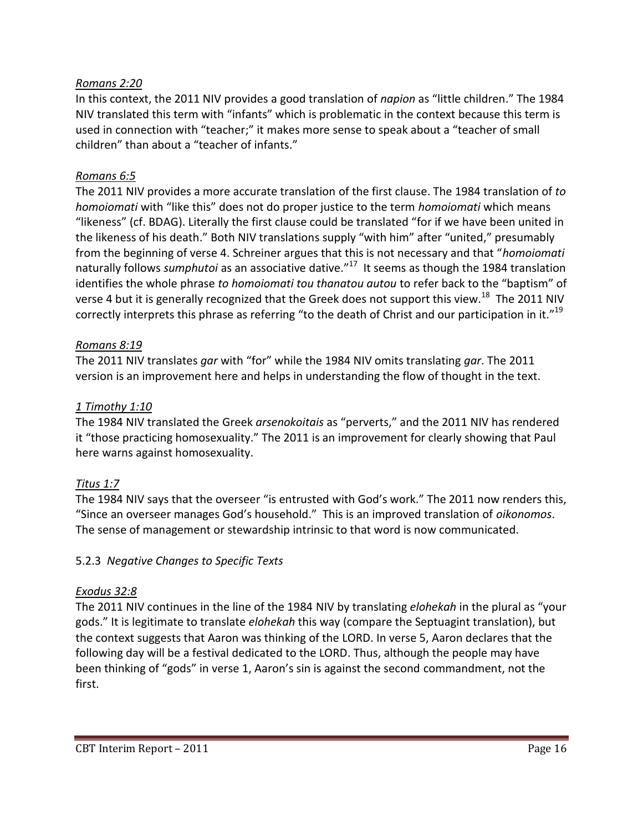#### *Romans 2:20*

In this context, the 2011 NIV provides a good translation of *napion* as "little children." The 1984 NIV translated this term with "infants" which is problematic in the context because this term is used in connection with "teacher;" it makes more sense to speak about a "teacher of small children" than about a "teacher of infants."

#### *Romans 6:5*

The 2011 NIV provides a more accurate translation of the first clause. The 1984 translation of *to homoiomati* with "like this" does not do proper justice to the term *homoiomati* which means "likeness" (cf. BDAG). Literally the first clause could be translated "for if we have been united in the likeness of his death." Both NIV translations supply "with him" after "united," presumably from the beginning of verse 4. Schreiner argues that this is not necessary and that "*homoiomati* naturally follows *sumphutoi* as an associative dative." <sup>17</sup> It seems as though the 1984 translation identifies the whole phrase *to homoiomati tou thanatou autou* to refer back to the "baptism" of verse 4 but it is generally recognized that the Greek does not support this view.<sup>18</sup> The 2011 NIV correctly interprets this phrase as referring "to the death of Christ and our participation in it."<sup>19</sup>

#### *Romans 8:19*

The 2011 NIV translates *gar* with "for" while the 1984 NIV omits translating *gar*. The 2011 version is an improvement here and helps in understanding the flow of thought in the text.

#### *1 Timothy 1:10*

The 1984 NIV translated the Greek *arsenokoitais* as "perverts," and the 2011 NIV has rendered it "those practicing homosexuality." The 2011 is an improvement for clearly showing that Paul here warns against homosexuality.

### *Titus 1:7*

The 1984 NIV says that the overseer "is entrusted with God's work." The 2011 now renders this, "Since an overseer manages God's household." This is an improved translation of *oikonomos*. The sense of management or stewardship intrinsic to that word is now communicated.

### 5.2.3 *Negative Changes to Specific Texts*

#### *Exodus 32:8*

The 2011 NIV continues in the line of the 1984 NIV by translating *elohekah* in the plural as "your gods." It is legitimate to translate *elohekah* this way (compare the Septuagint translation), but the context suggests that Aaron was thinking of the LORD. In verse 5, Aaron declares that the following day will be a festival dedicated to the LORD. Thus, although the people may have been thinking of "gods" in verse 1, Aaron's sin is against the second commandment, not the first.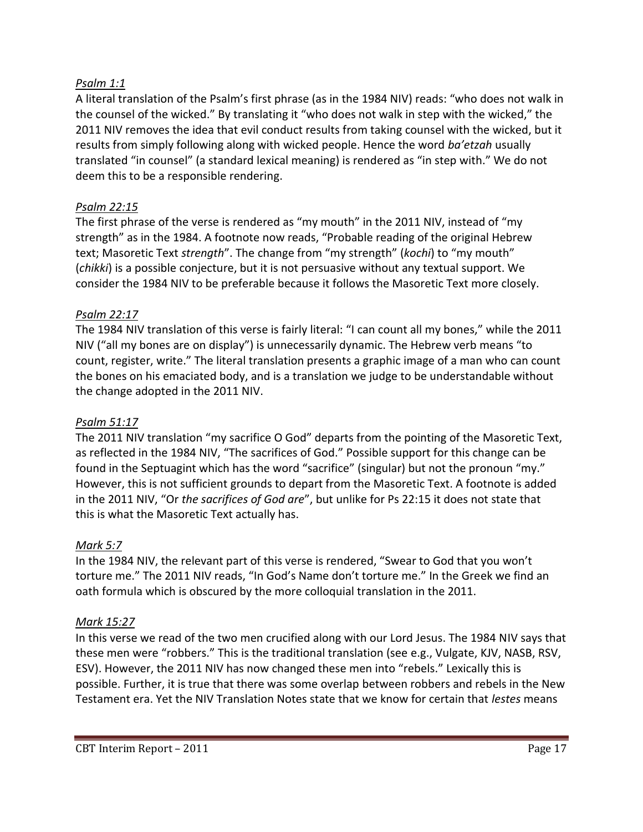#### *Psalm 1:1*

A literal translation of the Psalm's first phrase (as in the 1984 NIV) reads: "who does not walk in the counsel of the wicked." By translating it "who does not walk in step with the wicked," the 2011 NIV removes the idea that evil conduct results from taking counsel with the wicked, but it results from simply following along with wicked people. Hence the word *ba'etzah* usually translated "in counsel" (a standard lexical meaning) is rendered as "in step with." We do not deem this to be a responsible rendering.

#### *Psalm 22:15*

The first phrase of the verse is rendered as "my mouth" in the 2011 NIV, instead of "my strength" as in the 1984. A footnote now reads, "Probable reading of the original Hebrew text; Masoretic Text *strength*". The change from "my strength" (*kochi*) to "my mouth" (*chikki*) is a possible conjecture, but it is not persuasive without any textual support. We consider the 1984 NIV to be preferable because it follows the Masoretic Text more closely.

#### *Psalm 22:17*

The 1984 NIV translation of this verse is fairly literal: "I can count all my bones," while the 2011 NIV ("all my bones are on display") is unnecessarily dynamic. The Hebrew verb means "to count, register, write." The literal translation presents a graphic image of a man who can count the bones on his emaciated body, and is a translation we judge to be understandable without the change adopted in the 2011 NIV.

#### *Psalm 51:17*

The 2011 NIV translation "my sacrifice O God" departs from the pointing of the Masoretic Text, as reflected in the 1984 NIV, "The sacrifices of God." Possible support for this change can be found in the Septuagint which has the word "sacrifice" (singular) but not the pronoun "my." However, this is not sufficient grounds to depart from the Masoretic Text. A footnote is added in the 2011 NIV, "Or *the sacrifices of God are*", but unlike for Ps 22:15 it does not state that this is what the Masoretic Text actually has.

#### *Mark 5:7*

In the 1984 NIV, the relevant part of this verse is rendered, "Swear to God that you won't torture me." The 2011 NIV reads, "In God's Name don't torture me." In the Greek we find an oath formula which is obscured by the more colloquial translation in the 2011.

#### *Mark 15:27*

In this verse we read of the two men crucified along with our Lord Jesus. The 1984 NIV says that these men were "robbers." This is the traditional translation (see e.g., Vulgate, KJV, NASB, RSV, ESV). However, the 2011 NIV has now changed these men into "rebels." Lexically this is possible. Further, it is true that there was some overlap between robbers and rebels in the New Testament era. Yet the NIV Translation Notes state that we know for certain that *lestes* means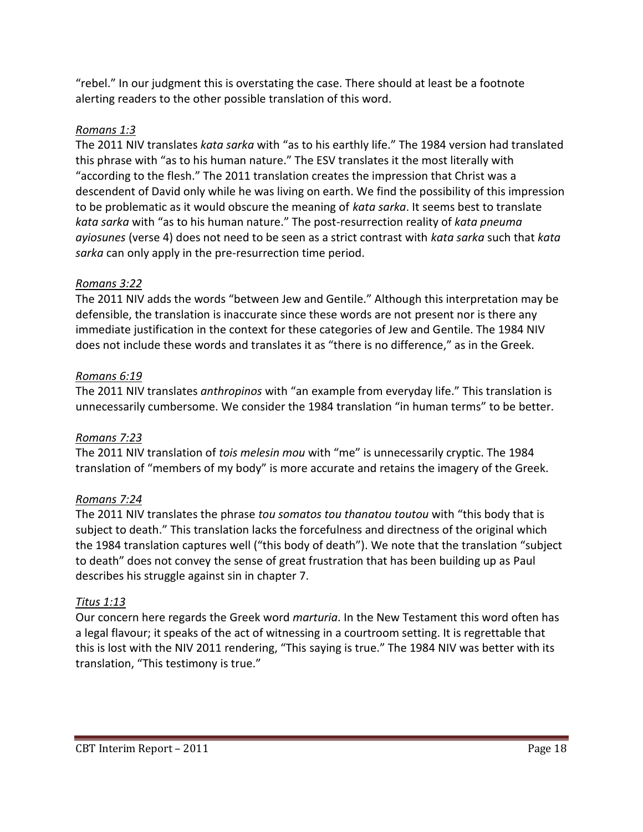"rebel." In our judgment this is overstating the case. There should at least be a footnote alerting readers to the other possible translation of this word.

## *Romans 1:3*

The 2011 NIV translates *kata sarka* with "as to his earthly life." The 1984 version had translated this phrase with "as to his human nature." The ESV translates it the most literally with "according to the flesh." The 2011 translation creates the impression that Christ was a descendent of David only while he was living on earth. We find the possibility of this impression to be problematic as it would obscure the meaning of *kata sarka*. It seems best to translate *kata sarka* with "as to his human nature." The post-resurrection reality of *kata pneuma ayiosunes* (verse 4) does not need to be seen as a strict contrast with *kata sarka* such that *kata sarka* can only apply in the pre-resurrection time period.

## *Romans 3:22*

The 2011 NIV adds the words "between Jew and Gentile." Although this interpretation may be defensible, the translation is inaccurate since these words are not present nor is there any immediate justification in the context for these categories of Jew and Gentile. The 1984 NIV does not include these words and translates it as "there is no difference," as in the Greek.

## *Romans 6:19*

The 2011 NIV translates *anthropinos* with "an example from everyday life." This translation is unnecessarily cumbersome. We consider the 1984 translation "in human terms" to be better.

## *Romans 7:23*

The 2011 NIV translation of *tois melesin mou* with "me" is unnecessarily cryptic. The 1984 translation of "members of my body" is more accurate and retains the imagery of the Greek.

## *Romans 7:24*

The 2011 NIV translates the phrase *tou somatos tou thanatou toutou* with "this body that is subject to death." This translation lacks the forcefulness and directness of the original which the 1984 translation captures well ("this body of death"). We note that the translation "subject to death" does not convey the sense of great frustration that has been building up as Paul describes his struggle against sin in chapter 7.

## *Titus 1:13*

Our concern here regards the Greek word *marturia*. In the New Testament this word often has a legal flavour; it speaks of the act of witnessing in a courtroom setting. It is regrettable that this is lost with the NIV 2011 rendering, "This saying is true." The 1984 NIV was better with its translation, "This testimony is true."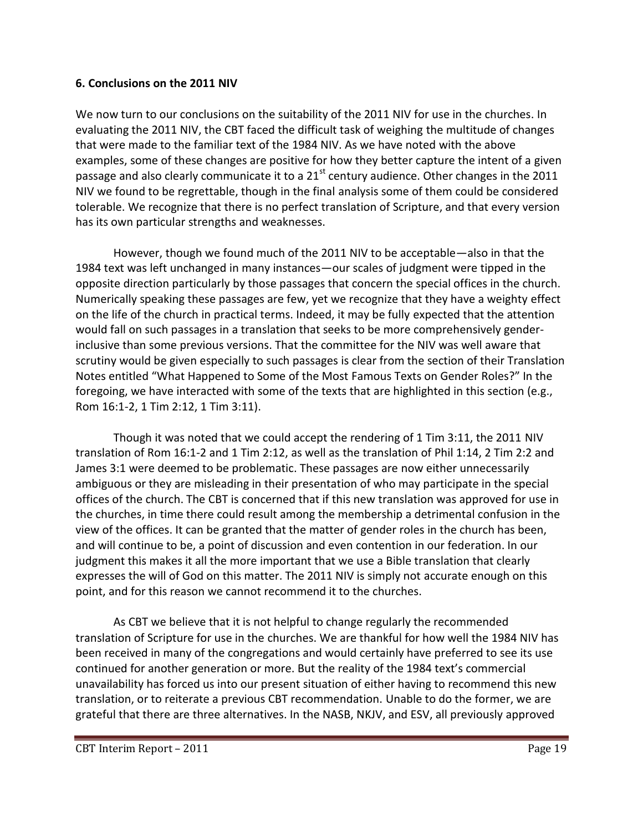#### **6. Conclusions on the 2011 NIV**

We now turn to our conclusions on the suitability of the 2011 NIV for use in the churches. In evaluating the 2011 NIV, the CBT faced the difficult task of weighing the multitude of changes that were made to the familiar text of the 1984 NIV. As we have noted with the above examples, some of these changes are positive for how they better capture the intent of a given passage and also clearly communicate it to a  $21<sup>st</sup>$  century audience. Other changes in the 2011 NIV we found to be regrettable, though in the final analysis some of them could be considered tolerable. We recognize that there is no perfect translation of Scripture, and that every version has its own particular strengths and weaknesses.

However, though we found much of the 2011 NIV to be acceptable—also in that the 1984 text was left unchanged in many instances—our scales of judgment were tipped in the opposite direction particularly by those passages that concern the special offices in the church. Numerically speaking these passages are few, yet we recognize that they have a weighty effect on the life of the church in practical terms. Indeed, it may be fully expected that the attention would fall on such passages in a translation that seeks to be more comprehensively genderinclusive than some previous versions. That the committee for the NIV was well aware that scrutiny would be given especially to such passages is clear from the section of their Translation Notes entitled "What Happened to Some of the Most Famous Texts on Gender Roles?" In the foregoing, we have interacted with some of the texts that are highlighted in this section (e.g., Rom 16:1-2, 1 Tim 2:12, 1 Tim 3:11).

Though it was noted that we could accept the rendering of 1 Tim 3:11, the 2011 NIV translation of Rom 16:1-2 and 1 Tim 2:12, as well as the translation of Phil 1:14, 2 Tim 2:2 and James 3:1 were deemed to be problematic. These passages are now either unnecessarily ambiguous or they are misleading in their presentation of who may participate in the special offices of the church. The CBT is concerned that if this new translation was approved for use in the churches, in time there could result among the membership a detrimental confusion in the view of the offices. It can be granted that the matter of gender roles in the church has been, and will continue to be, a point of discussion and even contention in our federation. In our judgment this makes it all the more important that we use a Bible translation that clearly expresses the will of God on this matter. The 2011 NIV is simply not accurate enough on this point, and for this reason we cannot recommend it to the churches.

As CBT we believe that it is not helpful to change regularly the recommended translation of Scripture for use in the churches. We are thankful for how well the 1984 NIV has been received in many of the congregations and would certainly have preferred to see its use continued for another generation or more. But the reality of the 1984 text's commercial unavailability has forced us into our present situation of either having to recommend this new translation, or to reiterate a previous CBT recommendation. Unable to do the former, we are grateful that there are three alternatives. In the NASB, NKJV, and ESV, all previously approved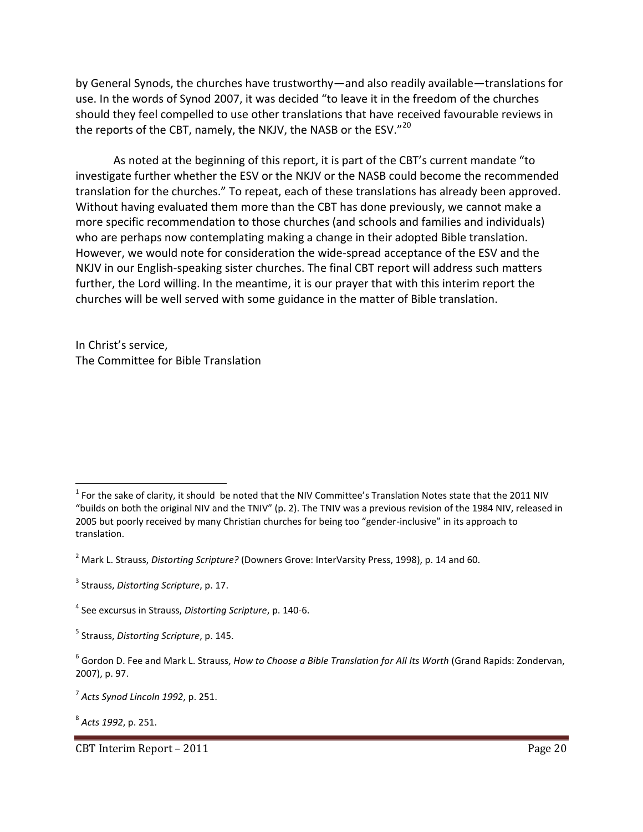by General Synods, the churches have trustworthy—and also readily available—translations for use. In the words of Synod 2007, it was decided "to leave it in the freedom of the churches should they feel compelled to use other translations that have received favourable reviews in the reports of the CBT, namely, the NKJV, the NASB or the ESV."<sup>20</sup>

As noted at the beginning of this report, it is part of the CBT's current mandate "to investigate further whether the ESV or the NKJV or the NASB could become the recommended translation for the churches." To repeat, each of these translations has already been approved. Without having evaluated them more than the CBT has done previously, we cannot make a more specific recommendation to those churches (and schools and families and individuals) who are perhaps now contemplating making a change in their adopted Bible translation. However, we would note for consideration the wide-spread acceptance of the ESV and the NKJV in our English-speaking sister churches. The final CBT report will address such matters further, the Lord willing. In the meantime, it is our prayer that with this interim report the churches will be well served with some guidance in the matter of Bible translation.

In Christ's service, The Committee for Bible Translation

 $\overline{\phantom{a}}$ 

<sup>&</sup>lt;sup>1</sup> For the sake of clarity, it should be noted that the NIV Committee's Translation Notes state that the 2011 NIV "builds on both the original NIV and the TNIV" (p. 2). The TNIV was a previous revision of the 1984 NIV, released in 2005 but poorly received by many Christian churches for being too "gender-inclusive" in its approach to translation.

<sup>2</sup> Mark L. Strauss, *Distorting Scripture?* (Downers Grove: InterVarsity Press, 1998), p. 14 and 60.

<sup>3</sup> Strauss, *Distorting Scripture*, p. 17.

<sup>4</sup> See excursus in Strauss, *Distorting Scripture*, p. 140-6.

<sup>5</sup> Strauss, *Distorting Scripture*, p. 145.

<sup>6</sup> Gordon D. Fee and Mark L. Strauss, *How to Choose a Bible Translation for All Its Worth* (Grand Rapids: Zondervan, 2007), p. 97.

<sup>7</sup> *Acts Synod Lincoln 1992*, p. 251.

<sup>8</sup> *Acts 1992*, p. 251.